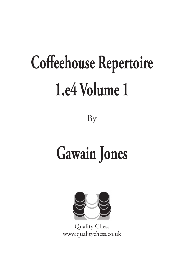# **[Coffeehouse Repertoire](http://www.qualitychess.co.uk/products/1/396/coffeehouse_repertoire_1e4_volume_1_by_gawain_jones/) [1.e4 Volume 1](http://www.qualitychess.co.uk/products/1/396/coffeehouse_repertoire_1e4_volume_1_by_gawain_jones/)**

[By](http://www.qualitychess.co.uk/products/1/396/coffeehouse_repertoire_1e4_volume_1_by_gawain_jones/)

### **[Gawain Jones](http://www.qualitychess.co.uk/products/1/396/coffeehouse_repertoire_1e4_volume_1_by_gawain_jones/)**



[Quality Chess](http://www.qualitychess.co.uk/) [www.qualitychess.co.uk](http://www.qualitychess.co.uk/)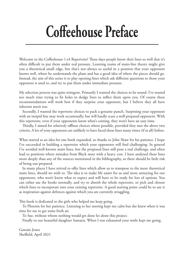### **Coffeehouse Preface**

Welcome to the Coffeehouse 1.e4 Repertoire! These days people know their lines so well that it's often difficult to put them under real pressure. Learning reams of main-line theory might give you a theoretical small edge, but that's not always so useful in a position that your opponent knows well, where he understands the plans and has a good idea of where the pieces should go. Instead, the aim of this series is to play opening lines which ask different questions to those your opponent is used to, and try to put them under immediate pressure.

My selection process was quite stringent. Primarily I wanted the choices to be sound. I've wasted too much time trying to fix holes in dodgy lines to inflict them upon you. Of course these recommendations will work best if they surprise your opponent, but I believe they all have inherent merit too.

Secondly, I wanted the repertoire choices to pack a genuine punch. Surprising your opponent with an insipid line may work occasionally, but will hardly scare a well-prepared opponent. With this repertoire, even if your opponents know what's coming, they won't have an easy time.

Thirdly, I aimed for relatively offbeat choices where possible, provided they met the above two criteria. A lot of your opponents are unlikely to have faced these lines many times (if at all) before.

What started as an idea for one book expanded, so thanks to John Shaw for his patience. I hope I've succeeded in building a repertoire which your opponents will find challenging. In general I've avoided well-known main lines, but the proposed lines still pose a real challenge, and often lead to positions where mistakes from Black meet with a heavy cost. I have analysed these lines more deeply than any of the sources mentioned in the bibliography, so there should be little risk of being out-prepared.

In many places I have strived to offer lines which allow us to transpose to the more theoretical main lines, should we wish to. The idea is to make life easier for us and more annoying for our opponents, who won't know what to expect and will have to be ready for lots of options. You can either use the books normally, and try to absorb the whole repertoire, or pick and choose which lines to incorporate into your existing repertoire. A good starting point could be to use it as inspiration against defences against which you are currently struggling.

This book is dedicated to the girls who helped me keep going.

To Phoenix for her patience. Listening to her snoring kept me calm but she knew when it was time for me to get some fresh air.

To Sue, without whom nothing would get done let alone this project.

Finally to our beautiful daughter Samaria. When I was exhausted your smile kept me going.

Gawain Jones Sheffield, April 2021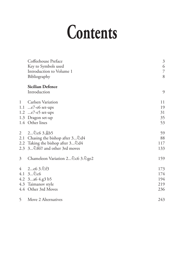### **Contents**

|                            | Coffeehouse Preface<br>Key to Symbols used<br>Introduction to Volume 1<br>Bibliography                                   | $\mathfrak{Z}$<br>6<br>$\overline{7}$<br>8 |
|----------------------------|--------------------------------------------------------------------------------------------------------------------------|--------------------------------------------|
|                            | <b>Sicilian Defence</b><br>Introduction                                                                                  | 9                                          |
| $\mathbf{1}$<br>1.2<br>1.3 | Carlsen Variation<br>1.1 e7-e6 set-ups<br>e7-e5 set-ups<br>Dragon set-up<br>1.4 Other lines                              | 11<br>19<br>31<br>35<br>53                 |
| $\overline{2}$<br>2.1      | $2\&0c63.\&05$<br>Chasing the bishop after 3 2d4<br>2.2 Taking the bishop after 3 Dd4<br>2.3 3 Df6!? and other 3rd moves | 59<br>88<br>117<br>133                     |
| 3 <sup>1</sup>             | Chameleon Variation 2 2c6 3. 2ge2                                                                                        | 159                                        |
| 4<br>4.1<br>4.2            | 2e63.2f3<br>32c6<br>3a6 4.g3 b5<br>4.3 Taimanov style<br>4.4 Other 3rd Moves                                             | 173<br>174<br>194<br>219<br>236            |
| 5                          | Move 2 Alternatives                                                                                                      | 243                                        |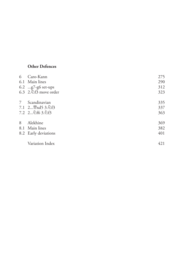#### **Other Defences**

| 6               | Caro-Kann                                               | 275 |
|-----------------|---------------------------------------------------------|-----|
|                 | 6.1 Main lines                                          | 290 |
|                 | $6.2$ g7-g6 set-ups                                     | 312 |
|                 | 6.3 2. 谷 move order                                     | 323 |
| $7\overline{ }$ | Scandinavian                                            | 335 |
|                 | $7.1 \quad 2\mathbb{W} \times 45 \quad 3.\mathbb{Q}$ f3 | 337 |
|                 | $7.2$ 2 2f6 3.2f3                                       | 363 |
| 8               | Alekhine                                                | 369 |
|                 | 8.1 Main lines                                          | 382 |
|                 | 8.2 Early deviations                                    | 401 |
|                 | Variation Index                                         | 421 |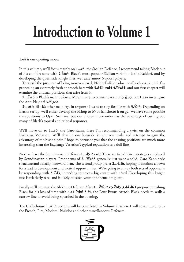### **Introduction to Volume 1**

**1.e4** is our opening move.

In this volume, we'll focus mainly on **1...c5**, the Sicilian Defence. I recommend taking Black out of his comfort zone with **2.¤c3**. Black's most popular Sicilian variation is the Najdorf, and by developing the queenside knight first, we really annoy Najdorf players.

To avoid the prospect of being move-ordered, Najdorf aficionados usually choose 2...d6. I'm proposing an extremely fresh approach here with **3.d4!? cxd4 4.£xd4**, and our first chapter will examine the unusual positions that arise from it.

**2...¤c6** is Black's main defence. My primary recommendation is **3.¥b5**, but I also investigate the Anti-Najdorf **3.¤ge2**.

**2...e6** is Black's other main try. In response I want to stay flexible with **3.¤f3**. Depending on Black's set-up, we'll either develop the bishop to b5 or fianchetto it on g2. We have some possible transpositions to Open Sicilians, but our chosen move order has the advantage of cutting out many of Black's topical and critical responses.

We'll move on to **1...c6**, the Caro-Kann. Here I'm recommending a twist on the common Exchange Variation. We'll develop our kingside knight very early and attempt to gain the advantage of the bishop pair. I hope to persuade you that the ensuing positions are much more interesting than the Exchange Variation's typical reputation as a dull line.

Next we have the Scandinavian Defence: **1...d5 2.exd5** There are two distinct strategies employed by Scandinavian players. Proponents of **2...£xd5** generally just want a solid, Caro-Kann style structure and a straightforward plan. The second group prefer **2...¤f6**, hoping to sacrifice a pawn for a lead in development and tactical opportunities. We're going to annoy both sets of opponents by responding with **3.¤f3**, intending to erect a big centre with c2-c4. Developing this knight first is relatively rare, and is likely to catch your opponents off-guard.

Finally we'll examine the Alekhine Defence. After **1...¤f6 2.e5 ¤d5 3.d4 d6** I propose punishing Black for his loss of time with **4.c4 ¤b6 5.f4**, the Four Pawns Attack. Black needs to walk a narrow line to avoid being squashed in the opening.

The Coffeehouse 1.e4 Repertoire will be completed in Volume 2, where I will cover 1...e5, plus the French, Pirc, Modern, Philidor and other miscellaneous Defences.

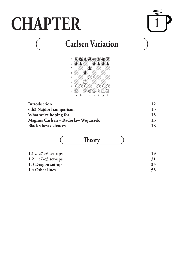## **CHAPTER**



### **Carlsen Variation**



| Introduction                        | 12 <sub>1</sub> |
|-------------------------------------|-----------------|
| 6.h3 Najdorf comparison             | 13              |
| What we're hoping for               | 13              |
| Magnus Carlsen – Radoslaw Wojtaszek | 13              |
| <b>Black's best defences</b>        | 18              |

**Theory**

| 1.1 $e7 - e6$ set-ups | 19 |
|-----------------------|----|
| $1.2$ e7-e5 set-ups   | 31 |
| 1.3 Dragon set-up     | 35 |
| 1.4 Other lines       | 53 |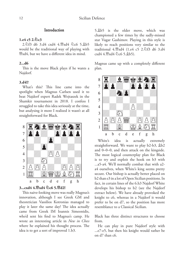#### **Introduction**

#### $1.64c526c3$

2. htm d6 3.d4 cxd4 4. htm d4 h c6 5. htm would be the traditional way of playing with £xd4, but we have a different idea in mind.

#### **2...d6**

This is the move Black plays if he wants a Najdorf.

#### **3.d4!?**

What's this? This line came into the spotlight when Magnus Carlsen used it to beat Najdorf expert Radek Wojtaszek in the Shamkir tournament in 2018. I confess I struggled to take this idea seriously at the time, but analysing it more I realized it wasn't at all straightforward for Black.



#### **3...cxd4 4.£xd4 ¤c6 5.£d2!**

This naive-looking move was really Magnus's innovation, although I see Greek GM and theoretician Vassilios Kotronias managed to play it later the same day! The idea actually came from Greek IM Ioannis Simeonidis, who'd sent his find to Magnus's camp. He wrote an interesting article in *New in Chess* where he explained his thought process. The idea is to get a sort of improved 1.b3.

5.¥b5 is the older move, which was championed a few times by the sadly-missed star Vugar Gashimov. Playing in this style is likely to reach positions very similar to the traditional 4. 曾xd4 (1.e4 c5 2. 公f3 d6 3.d4 cxd4 4. \$xd4 \c6 5. \$b5).

Magnus came up with a completely different plan.



White's idea is actually extremely straightforward. We want to play b2-b3, \$b2 and 0–0–0, and then attack on the kingside. The most logical counterplay plan for Black is to try and exploit the hook on b3 with ...a5-a4. We'll normally combat that with a2 a4 ourselves, when White's king seems pretty secure. Our bishop is actually better placed on b2 than e3 in a lot of Open Sicilian positions. In fact, in certain lines of the 6.h3 Najdorf White develops his bishop to b2 (see the Najdorf extract below). We have already provoked the knight to c6, whereas in a Najdorf it would prefer to be on d7, so the position has more resemblance to a Classical Sicilian.

Black has three distinct structures to choose from.

He can play in pure Najdorf style with ...e7-e5, but then his knight would rather be on d7 than c6.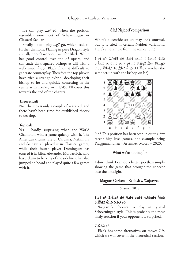He can play ...e7-e6, when the position resembles some sort of Scheveningen or Classical Sicilian.

Finally, he can play ...g7-g6, which leads to further divisions. Playing in pure Dragon style actually doesn't work out well for Black. White has good control over the d5-square, and can trade dark-squared bishops at will with a well-timed  $\triangle$ d5. Black finds it difficult to generate counterplay. Therefore the top players have tried a strange hybrid, developing their bishop to h6 and quickly contesting in the centre with ...e7-e5 or ...f7-f5. I'll cover this towards the end of the chapter.

#### **Theoretical?**

No. The idea is only a couple of years old, and there hasn't been time for established theory to develop.

#### **Topical?**

Yes – hardly surprising when the World Champion wins a game quickly with it. The American triumvirate of Caruana, Nakamura and So have all played it in Classical games, while their fourth player Dominguez has essayed it in blitz. Alexander Morozevich, who has a claim to be king of the sidelines, has also jumped on board and played quite a few games with it.

#### **6.h3 Najdorf comparison**

White's queenside set-up may look unusual, but it is tried in certain Najdorf variations. Here's an example from the topical 6.h3:

1.e4 c5 2.\times d6 3.d4 cxd4 4.\times\xd4 \times\times\text{ \frac{1}{6}\$ 5. [c3 a6 6.h3 e6 7.g4 h6 8. g2 ge7 (8...g5 9.b3 2bd7 10. b2 2e5 11. Fd2 reaches the same set-up with the bishop on b2)



9.b3 This position has been seen in quite a few recent high-level games, one example being Praggnanandhaa – Artemiev, Moscow 2020.

#### **What we're hoping for**

I don't think I can do a better job than simply showing the game that brought the concept into the limelight.

**Magnus Carlsen – Radoslaw Wojtaszek** Shamkir 2018

#### **1.e4 c5 2.¤c3 d6 3.d4 cxd4 4.£xd4 ¤c6 5.£d2 ¤f6 6.b3 e6**

Wojtaszek chooses to play in typical Scheveningen style. This is probably the most likely reaction if your opponent is surprised.

#### **7.¥b2 a6**

Black has some alternatives on moves 7-9, which we will cover in the theoretical section.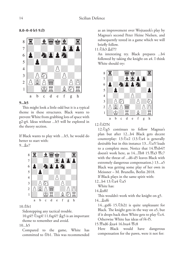**8.0–0–0 b5 9.f3** 



#### **9...h5**

This might look a little odd but it is a typical theme in these structures. Black wants to prevent White from grabbing lots of space with g2-g4. Ideas without ...h5 will be explored in the theory section.

If Black wants to play with ...h5, he would do better to start with:  $9...$  $Re7$ 



#### $10.\Phi b1$

Sidestepping any tactical trouble.

10.g4?!  $\&$ xg4! 11.fxg4??  $\&$ g5 is an important theme to remember and avoid.

10...h5

Compared to the game, White has committed to ¢b1. This was recommended as an improvement over Wojtaszek's play by Magnus's second Peter Heine Nielsen, and subsequently tested in a game which we will briefly follow.

#### 11.6h3 鱼d7!?

An interesting try. Black prepares ...b4 followed by taking the knight on a4. I think White should try:



12.¤f2!N

 $12.\textcircled{2g}5$  continues to follow Magnus's plan but after 12...b4 Black gets decent counterplay:  $13.\text{\textdegree}$ e2  $(13.\textdegree)$ a4 is generally desirable but in this instance 13... [a5! leads] to a complete mess. Notice that 14. Wxb4?! doesn't work here, as 14...<sub>巴b8</sub> 15. 曾a3 曾c7 with the threat of ...d6-d5 leaves Black with extremely dangerous compensation.) 13...a5 Black was getting some play of her own in Meissner – M. Brunello, Berlin 2018.

If Black plays in the same spirit with:

 $12...b4$   $13.\&$ a4  $\&$ a5

White has:

14.¥xf6!

This wouldn't work with the knight on g5. 14...¥xf6

14...gxf6 15. $\triangle b2\pm$  is quite unpleasant for Black. The knight gets in the way on a5, but if it drops back then White gets to play  $\Diamond c4$ . Otherwise White has ideas of f4-f5.

15. Wxd6 \$xa4 16. bxa4 Wc8

Here Black would have dangerous compensation for the pawn, were it not for: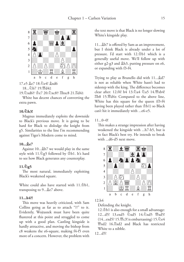

17.e5 \$e7 18.2e4! \$xd6

18... 5 b7 19. 曾d4±

19.  $\&$ xd6†  $\&e$ 7 20.  $\&xc8$ †  $\&xc8$  21. $\&d4\&$ 

White has decent chances of converting the extra pawn.

#### **10.¤h3!**

Magnus immediately exploits the downside to Black's previous move. It is going to be hard for Black to dislodge the knight from g5. Similarities to the line I'm recommending against Tiger's Modern come to mind.

#### **10...¥e7**

Against  $10...\&b7$  we would play in the same style with 11. $\hat{\mathbb{Q}}$ g5 followed by  $\hat{\mathbb{Z}}$ b1. It's hard to see how Black generates any counterplay.

#### **11.¤g5**

The most natural, immediately exploiting Black's weakened square.

White could also have started with  $11.\Phi b1$ , transposing to 9... e7 above.

#### **11...h4?!**

This move was heavily criticized, with Sam Collins going as far as to attach "??" to it. Evidently, Wojtaszek must have been quite flustered at this point and struggled to come up with a good plan. Castling kingside is hardly attractive, and moving the bishop from c8 weakens the e6-square, making f4-f5 even more of a concern. However, the problem with

the text move is that Black is no longer slowing White's kingside play.

11...¥b7 is offered by Sam as an improvement, but I think Black is already under a lot of pressure. I'd start with 12.¢b1 which is a generally useful move. We'll follow up with either g2-g3 and  $*h3$ , putting pressure on e6, or expanding with f3-f4.

Trying to play as Brunello did with  $11...$  $d7$ is not as reliable when White hasn't had to sidestep with the king. The difference becomes clear after: 12.f4! b4 13. a4 2a5 14. Wxb4! ¦b8 15.£d4± Compared to the above line, White has this square for the queen (f3-f4 having been played rather than  $\Phi$ b1) so Black can't hit it immediately with ...e6-e5.

11...0–0!

This makes a strange impression after having weakened the kingside with ...h7-h5, but is in fact Black's best try. He intends to break with ...d6-d5 next move.



12.h4

Defending the knight.

 $12.\Phi b1$  is also enough for a small advantage: 12...d5! 13.exd5 <br />
2xd5 14.<br />
2xd5 <br />
12...d5! 13.exd5 <br />
2xd5 <br />
14.<br />
2xd5 <br />
14.  $(14...exd5? 15.$   $\&c3!$  is embarrassing) 15.  $\&c4$ **\\\\\\\\\xd2** 16.\\\xd2 and Black has restricted White to a nibble.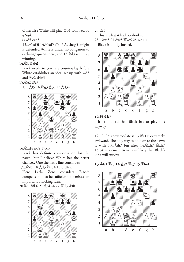Otherwise White will play ¢b1 followed by g2-g4.

13.exd5 exd5

13...②xd5? 14.②xd5 鬯xd5 As the g5-knight is defended White is under no obligation to exchange queens here, and 15.¥d3 is simply winning.

#### 14.¢b1! d4!

Black needs to generate counterplay before White establishes an ideal set-up with  $\triangle$ d3 and  $\hat{\varphi}_{\text{e}}$  2-d4/f4.

#### 15. @e2 曾c7

15... \$f5 16. 2g3 \$g6 17. \$d3±



#### 16.2xd4 骂d8 17.c3

Black has definite compensation for the pawn, but I believe White has the better chances. One thematic line continues:

- 17... 4d5 18. ad3 4 xd4 19. cxd4 a5
- Here Leela Zero considers Black's compensation to be sufficient but misses an important attacking idea.
- 20. c1 曾b6 21. ge4 a4 22. 曾d3 gf8



23. gc5!

This is what it had overlooked. 23... &xc5 24.dxc5 \right\xc5 25. &d4!+-Black is totally busted.



#### **12.f4 ¥b7**

It's a bit sad that Black has to play this anyway.

 $12...0-0$ ? is now too late as  $13$ . $\mathbb{Z}$ el is extremely awkward. The only way to hold on to the pawn is with  $13...\&0h7$  but after  $14.\&0xh7 \&0xh7$ 15.g4! it seems extremely unlikely that Black's king will survive.

#### **13.¢b1 ¦c8 14.¥e2 £c7 15.¦he1**

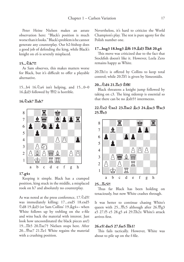Peter Heine Nielsen makes an astute observation here: "Black's position is much worse than it looks." Black's problem is he cannot generate any counterplay. Our b2-bishop does a good job of defending the king, while Black's knight on c6 is severely misplaced.

#### **15...¤h7?!**

As Sam observes, this makes matters worse for Black, but it's difficult to offer a playable alternative.

15...b4 16. la4 isn't helping, and 15...0–0 16. ad3 followed by 曾f2 is horrible.

**16.¤xh7 ¦xh7** 



#### **17.g4±**

Keeping it simple. Black has a cramped position, king stuck in the middle, a misplaced rook on h7 and absolutely no counterplay.

As was noted at the press conference,  $17.\textcircled{d}5!$ was immediately killing: 17...exd5 18.exd5 *©***d8 19.** ad3 (or Sam Collins' 19. ag4+– when White follows up by trebling on the e-file and wins back the material with interest. Just look how uncoordinated the black pieces are!) 19... Eh5 20. Exe7† Nielsen stops here. After 20... set 21. Ee1 White regains the material with a crushing position.

Nevertheless, it's hard to criticize the World Champion's play. The rest is pure agony for the Polish number one.

#### **17...hxg3 18.hxg3 ¥f6 19.¥d3 ¦h8 20.g4**

This move was criticized due to the fact that Stockfish doesn't like it. However, Leela Zero remains happy as White.

 $20.\overline{\mathbb{Z}}h1\pm$  is offered by Collins to keep total control; while 20.宫f1 is given by Simeonidis.

#### **20...¤d4 21.¦e3 ¢f8!**

Black threatens a knight jump followed by taking on c3. The king sidestep is essential so that there can be no  $x + 5$ † intermezzo.

#### **22.¤e2 ¤xe2 23.¦xe2 ¥c3 24.¥xc3 £xc3 25.£e3**



#### **25...¦c5?!**

Thus far Black has been holding on tenaciously, but now White crashes through.

It was better to continue chasing White's queen with  $25...$  comes although after  $26$ .  $\frac{100}{25}$ a5 27.f5 e5 28.g5 a4 29. h2± White's attack arrives first.

#### **26.e5! dxe5 27.fxe5 ¦h1?**

This fails tactically. However, White was about to pile up on the f-file.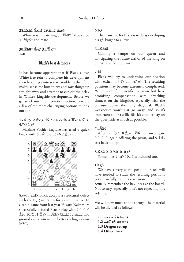#### **28.¦xh1 ¥xh1 29.¦h2 ¦xe5**

White was threatening 30.<sup>g</sup>h8† followed by 31. $\frac{35}{7}$  and mate.

**30.¦h8† ¢e7 31.£a7† 1–0**

#### **Black's best defences**

It has become apparent that if Black allows White free rein to complete his development then he can get into severe trouble. It therefore makes sense for him to try and mix things up straight away and attempt to exploit the delay in White's kingside development. Before we get stuck into the theoretical section, here are a few of the more challenging options to look out for.

#### **1.e4 c5 2.¤c3 d6 3.d4 cxd4 4.£xd4 ¤c6 5.£d2 g6**

Maxime Vachier-Lagrave has tried a quick break with: 5... 466 6.b3 e6 7. \$b2 d5!?



8.exd5 exd5 Black accepts a structural defect with the IQP, in return for some initiative. In a rapid game from last year Hikaru Nakamura successfully defused Black's play with 9.0–0–0 ¥e6 10.¢b1 £a5 11.¤b5 £xd2 12.¦xd2 and ground out a win in the better ending against MVL.

#### **6.b3**

The main line for Black is to delay developing his g8-knight to allow:

#### **6...¥h6!**

Gaining a tempo on our queen and anticipating the future arrival of the king on c1. We should react with:

#### **7.f4**

Black will try to undermine our position with either ...f7-f5 or ...e7-e5. The resulting positions may become extremely complicated. White will often sacrifice a pawn but have promising compensation with attacking chances on the kingside, especially with the pressure down the long diagonal. Black's weaknesses won't just go away, and so it's important to first stifle Black's counterplay on the queenside as much as possible.

#### **7...¤f6**

After 7...f5!? 8. b2 \times 1 investigate 9.0–0–0, again offering the pawn, and  $9.\&d3$ as a back-up option.

#### **8.¥b2 0–0 9.0–0–0 e5**

Sometimes 9...a5 10.a4 is included too.

#### **10.g3**

We have a very sharp position. Black will have needed to study the resulting positions very carefully, and even more important, actually remember the key ideas at the board. Not so easy, especially if he's not expecting this sideline.

We will now move to the theory. The material will be divided as follows:

**1.1 ...e7-e6 set-ups 1.2 ...e7-e5 set-ups 1.3 Dragon set-up 1.4 Other lines**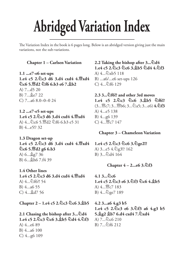### **Abridged Variation Index**

The Variation Index in the book is 6 pages long. Below is an abridged version giving just the main variations, not the sub-variations.

#### **Chapter 1 – Carlsen Variation**

**1.1 ...e7-e6 set-ups 1.e4 c5 2.¤c3 d6 3.d4 cxd4 4.£xd4 ¤c6 5.£d2 ¤f6 6.b3 e6 7.¥b2** A) 7...d5 20 B) 7... e7 22 C) 7...a6 8.0–0–0 24

**1.2 ...e7-e5 set-ups 1.e4 c5 2.¤c3 d6 3.d4 cxd4 4.£xd4** A)  $4...\overline{2}c65$ .  $3\overline{2}c65.$   $5\overline{3}1$ B) 4...e5!? 32

**1.3 Dragon set-up 1.e4 c5 2.¤c3 d6 3.d4 cxd4 4.£xd4 ¤c6 5.£d2 g6 6.b3** A) 6...¥g7 36 B) 6...¥h6 7.f4 39

**1.4 Other lines 1.e4 c5 2.¤c3 d6 3.d4 cxd4 4.£xd4** A)  $4...\&6$ ?! 54 B) 4...a6 55 C) 4... \$d7 56

**Chapter 2 – 1.e4 c5 2.¤c3 ¤c6 3.¥b5**

**2.1 Chasing the bishop after 3...¤d4 1.e4 c5 2.¤c3 ¤c6 3.¥b5 ¤d4 4.¤f3** A) 4...e6 89 B) 4...a6 100 C) 4...g6 109

**2.2 Taking the bishop after 3...¤d4 1.e4 c5 2.¤c3 ¤c6 3.¥b5 ¤d4 4.¤f3** A)  $4...\&2\times5$  118 B) ...a6/...e6 set-ups 126  $C$ ) 4... $\&$ f6 129

**2.3 3...¤f6!? and other 3rd moves 1.e4 c5 2.¤c3 ¤c6 3.¥b5 ¤f6!?**  (3...£c7; 3...£b6; 3...¤a5; 3...e6) **4.¤f3** A) 4...e5 138 B) 4...g6 139 C) 4... 暨c7 147

**Chapter 3 – Chameleon Variation**

**1.e4 c5 2.¤c3 ¤c6 3.¤ge2!?** A) 3...e5 4. 2g3!? 162 B)  $3...2d4164$ 

**Chapter 4 – 2...e6 3.¤f3**

**4.1 3...¤c6 1.e4 c5 2.¤c3 e6 3.¤f3 ¤c6 4.¥b5** A) 4.... *lect 183* B) 4... 2ge7 189

**4.2 3...a6 4.g3 b5 1.e4 c5 2.¤c3 e6 3.¤f3 a6 4.g3 b5 5.¥g2 ¥b7 6.d4 cxd4 7.¤xd4** A)  $7...\&c6\,210$  $B)$  7... $\hat{\varphi}$ ) f6 212